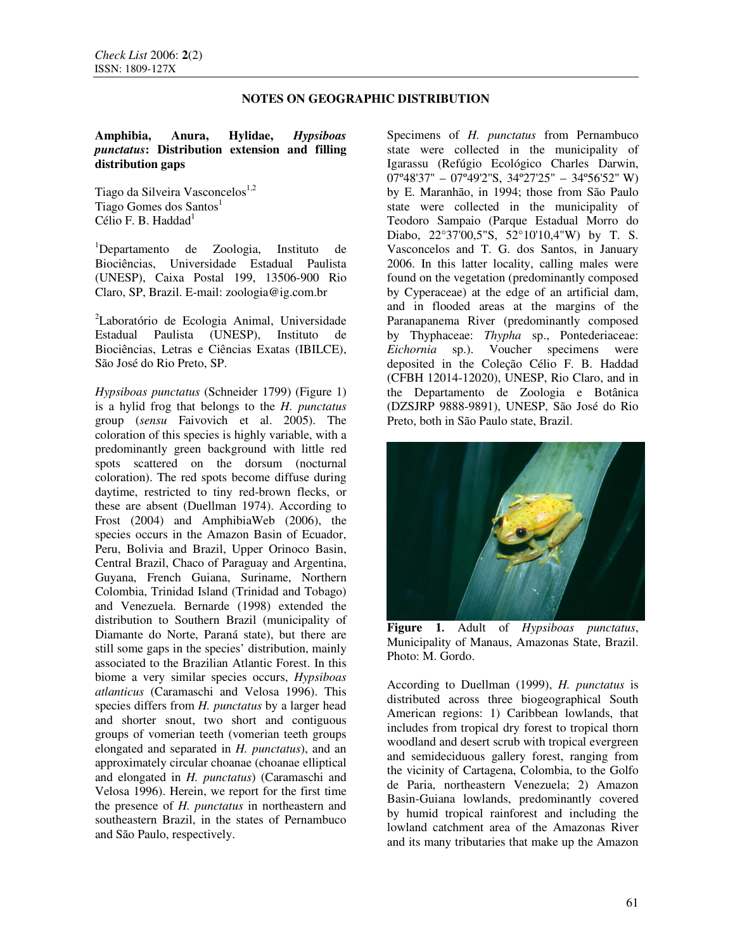## **NOTES ON GEOGRAPHIC DISTRIBUTION**

## **Amphibia, Anura, Hylidae,** *Hypsiboas punctatus***: Distribution extension and filling distribution gaps**

Tiago da Silveira Vasconcelos<sup>1,2</sup> Tiago Gomes dos Santos $<sup>1</sup>$ </sup> Célio F. B. Haddad<sup>1</sup>

<sup>1</sup>Departamento de Zoologia, Instituto de Biociências, Universidade Estadual Paulista (UNESP), Caixa Postal 199, 13506-900 Rio Claro, SP, Brazil. E-mail: zoologia@ig.com.br

<sup>2</sup>Laboratório de Ecologia Animal, Universidade Estadual Paulista (UNESP), Instituto de Biociências, Letras e Ciências Exatas (IBILCE), São José do Rio Preto, SP.

*Hypsiboas punctatus* (Schneider 1799) (Figure 1) is a hylid frog that belongs to the *H. punctatus*  group (*sensu* Faivovich et al. 2005). The coloration of this species is highly variable, with a predominantly green background with little red spots scattered on the dorsum (nocturnal coloration). The red spots become diffuse during daytime, restricted to tiny red-brown flecks, or these are absent (Duellman 1974). According to Frost (2004) and AmphibiaWeb (2006), the species occurs in the Amazon Basin of Ecuador, Peru, Bolivia and Brazil, Upper Orinoco Basin, Central Brazil, Chaco of Paraguay and Argentina, Guyana, French Guiana, Suriname, Northern Colombia, Trinidad Island (Trinidad and Tobago) and Venezuela. Bernarde (1998) extended the distribution to Southern Brazil (municipality of Diamante do Norte, Paraná state), but there are still some gaps in the species' distribution, mainly associated to the Brazilian Atlantic Forest. In this biome a very similar species occurs, *Hypsiboas atlanticus* (Caramaschi and Velosa 1996). This species differs from *H. punctatus* by a larger head and shorter snout, two short and contiguous groups of vomerian teeth (vomerian teeth groups elongated and separated in *H. punctatus*), and an approximately circular choanae (choanae elliptical and elongated in *H. punctatus*) (Caramaschi and Velosa 1996). Herein, we report for the first time the presence of *H. punctatus* in northeastern and southeastern Brazil, in the states of Pernambuco and São Paulo, respectively.

Specimens of *H. punctatus* from Pernambuco state were collected in the municipality of Igarassu (Refúgio Ecológico Charles Darwin,  $07^{\circ}48'37'' - 07^{\circ}49'2''S$ ,  $34^{\circ}27'25'' - 34^{\circ}56'52'' W$ by E. Maranhão, in 1994; those from São Paulo state were collected in the municipality of Teodoro Sampaio (Parque Estadual Morro do Diabo, 22°37'00,5"S, 52°10'10,4"W) by T. S. Vasconcelos and T. G. dos Santos, in January 2006. In this latter locality, calling males were found on the vegetation (predominantly composed by Cyperaceae) at the edge of an artificial dam, and in flooded areas at the margins of the Paranapanema River (predominantly composed by Thyphaceae: *Thypha* sp., Pontederiaceae: *Eichornia* sp.). Voucher specimens were deposited in the Coleção Célio F. B. Haddad (CFBH 12014-12020), UNESP, Rio Claro, and in the Departamento de Zoologia e Botânica (DZSJRP 9888-9891), UNESP, São José do Rio Preto, both in São Paulo state, Brazil.



**Figure 1.** Adult of *Hypsiboas punctatus*, Municipality of Manaus, Amazonas State, Brazil. Photo: M. Gordo.

According to Duellman (1999), *H. punctatus* is distributed across three biogeographical South American regions: 1) Caribbean lowlands, that includes from tropical dry forest to tropical thorn woodland and desert scrub with tropical evergreen and semideciduous gallery forest, ranging from the vicinity of Cartagena, Colombia, to the Golfo de Paria, northeastern Venezuela; 2) Amazon Basin-Guiana lowlands, predominantly covered by humid tropical rainforest and including the lowland catchment area of the Amazonas River and its many tributaries that make up the Amazon